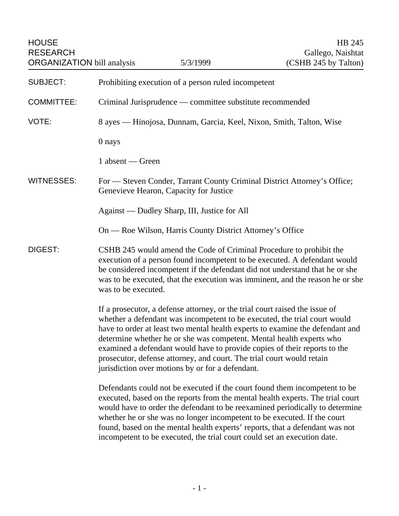| <b>HOUSE</b><br><b>RESEARCH</b><br><b>ORGANIZATION</b> bill analysis |                                                                                                                                                                                                                                                                                                                                                                                                                                                                                                                             | 5/3/1999 | HB 245<br>Gallego, Naishtat<br>(CSHB 245 by Talton) |  |
|----------------------------------------------------------------------|-----------------------------------------------------------------------------------------------------------------------------------------------------------------------------------------------------------------------------------------------------------------------------------------------------------------------------------------------------------------------------------------------------------------------------------------------------------------------------------------------------------------------------|----------|-----------------------------------------------------|--|
| <b>SUBJECT:</b>                                                      | Prohibiting execution of a person ruled incompetent                                                                                                                                                                                                                                                                                                                                                                                                                                                                         |          |                                                     |  |
| <b>COMMITTEE:</b>                                                    | Criminal Jurisprudence — committee substitute recommended                                                                                                                                                                                                                                                                                                                                                                                                                                                                   |          |                                                     |  |
| VOTE:                                                                | 8 ayes — Hinojosa, Dunnam, Garcia, Keel, Nixon, Smith, Talton, Wise                                                                                                                                                                                                                                                                                                                                                                                                                                                         |          |                                                     |  |
|                                                                      | 0 nays                                                                                                                                                                                                                                                                                                                                                                                                                                                                                                                      |          |                                                     |  |
|                                                                      | 1 absent — Green                                                                                                                                                                                                                                                                                                                                                                                                                                                                                                            |          |                                                     |  |
| <b>WITNESSES:</b>                                                    | For — Steven Conder, Tarrant County Criminal District Attorney's Office;<br>Genevieve Hearon, Capacity for Justice                                                                                                                                                                                                                                                                                                                                                                                                          |          |                                                     |  |
|                                                                      | Against — Dudley Sharp, III, Justice for All                                                                                                                                                                                                                                                                                                                                                                                                                                                                                |          |                                                     |  |
|                                                                      | On — Roe Wilson, Harris County District Attorney's Office                                                                                                                                                                                                                                                                                                                                                                                                                                                                   |          |                                                     |  |
| <b>DIGEST:</b>                                                       | CSHB 245 would amend the Code of Criminal Procedure to prohibit the<br>execution of a person found incompetent to be executed. A defendant would<br>be considered incompetent if the defendant did not understand that he or she<br>was to be executed, that the execution was imminent, and the reason he or she<br>was to be executed.                                                                                                                                                                                    |          |                                                     |  |
|                                                                      | If a prosecutor, a defense attorney, or the trial court raised the issue of<br>whether a defendant was incompetent to be executed, the trial court would<br>have to order at least two mental health experts to examine the defendant and<br>determine whether he or she was competent. Mental health experts who<br>examined a defendant would have to provide copies of their reports to the<br>prosecutor, defense attorney, and court. The trial court would retain<br>jurisdiction over motions by or for a defendant. |          |                                                     |  |
|                                                                      | Defendants could not be executed if the court found them incompetent to be<br>executed, based on the reports from the mental health experts. The trial court<br>would have to order the defendant to be reexamined periodically to determine<br>whether he or she was no longer incompetent to be executed. If the court<br>found, based on the mental health experts' reports, that a defendant was not<br>incompetent to be executed, the trial court could set an execution date.                                        |          |                                                     |  |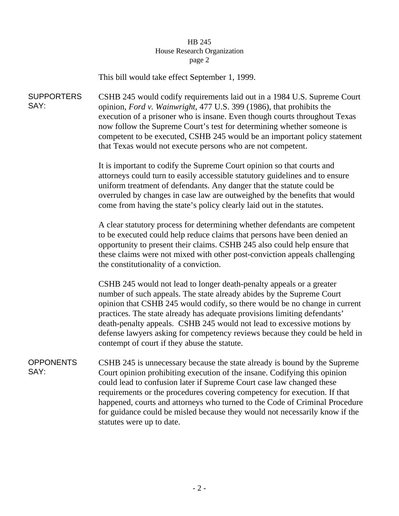## HB 245 House Research Organization page 2

This bill would take effect September 1, 1999.

SUPPORTERS SAY: CSHB 245 would codify requirements laid out in a 1984 U.S. Supreme Court opinion, *Ford v. Wainwright*, 477 U.S. 399 (1986), that prohibits the execution of a prisoner who is insane. Even though courts throughout Texas now follow the Supreme Court's test for determining whether someone is competent to be executed, CSHB 245 would be an important policy statement that Texas would not execute persons who are not competent.

> It is important to codify the Supreme Court opinion so that courts and attorneys could turn to easily accessible statutory guidelines and to ensure uniform treatment of defendants. Any danger that the statute could be overruled by changes in case law are outweighed by the benefits that would come from having the state's policy clearly laid out in the statutes.

> A clear statutory process for determining whether defendants are competent to be executed could help reduce claims that persons have been denied an opportunity to present their claims. CSHB 245 also could help ensure that these claims were not mixed with other post-conviction appeals challenging the constitutionality of a conviction.

CSHB 245 would not lead to longer death-penalty appeals or a greater number of such appeals. The state already abides by the Supreme Court opinion that CSHB 245 would codify, so there would be no change in current practices. The state already has adequate provisions limiting defendants' death-penalty appeals. CSHB 245 would not lead to excessive motions by defense lawyers asking for competency reviews because they could be held in contempt of court if they abuse the statute.

**OPPONENTS** SAY: CSHB 245 is unnecessary because the state already is bound by the Supreme Court opinion prohibiting execution of the insane. Codifying this opinion could lead to confusion later if Supreme Court case law changed these requirements or the procedures covering competency for execution. If that happened, courts and attorneys who turned to the Code of Criminal Procedure for guidance could be misled because they would not necessarily know if the statutes were up to date.